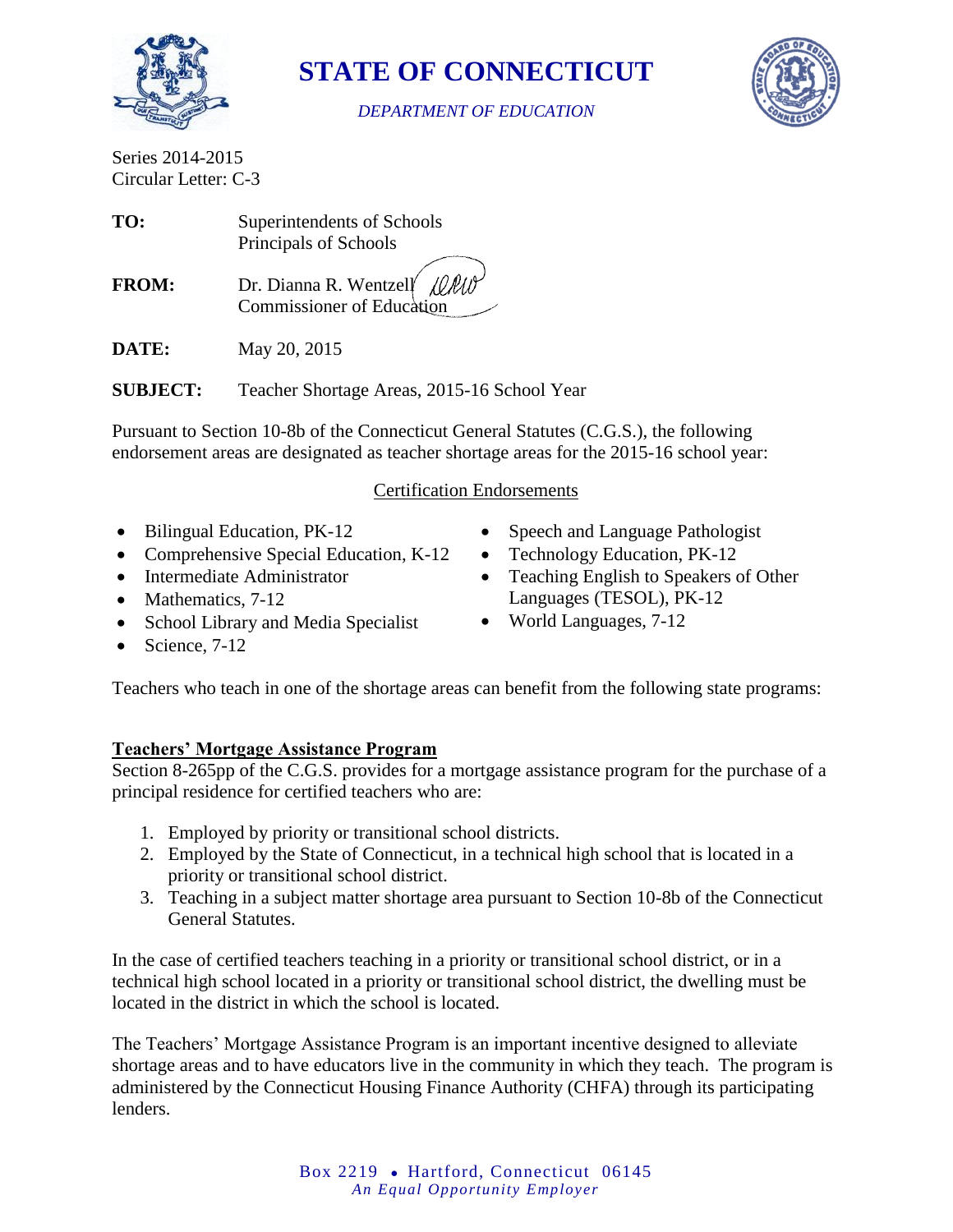

**STATE OF CONNECTICUT**

*DEPARTMENT OF EDUCATION*



Series 2014-2015 Circular Letter: C-3

| TO:          | Superintendents of Schools                                        |
|--------------|-------------------------------------------------------------------|
|              | Principals of Schools                                             |
| <b>FROM:</b> | Dr. Dianna R. Wentzell $\ell$<br><b>Commissioner of Education</b> |

**DATE:** May 20, 2015

**SUBJECT:** Teacher Shortage Areas, 2015-16 School Year

Pursuant to Section 10-8b of the Connecticut General Statutes (C.G.S.), the following endorsement areas are designated as teacher shortage areas for the 2015-16 school year:

### Certification Endorsements

- Bilingual Education, PK-12
- Comprehensive Special Education, K-12
- Intermediate Administrator
- Mathematics, 7-12
- School Library and Media Specialist
- $\bullet$  Science, 7-12
- Speech and Language Pathologist
- Technology Education, PK-12
- Teaching English to Speakers of Other Languages (TESOL), PK-12
- World Languages, 7-12

Teachers who teach in one of the shortage areas can benefit from the following state programs:

### **Teachers' Mortgage Assistance Program**

Section 8-265pp of the C.G.S. provides for a mortgage assistance program for the purchase of a principal residence for certified teachers who are:

- 1. Employed by priority or transitional school districts.
- 2. Employed by the State of Connecticut, in a technical high school that is located in a priority or transitional school district.
- 3. Teaching in a subject matter shortage area pursuant to Section 10-8b of the Connecticut General Statutes.

In the case of certified teachers teaching in a priority or transitional school district, or in a technical high school located in a priority or transitional school district, the dwelling must be located in the district in which the school is located.

The Teachers' Mortgage Assistance Program is an important incentive designed to alleviate shortage areas and to have educators live in the community in which they teach. The program is administered by the Connecticut Housing Finance Authority (CHFA) through its participating lenders.

> Box 2219 • Hartford, Connecticut 06145 *An Equal Opportunity Employer*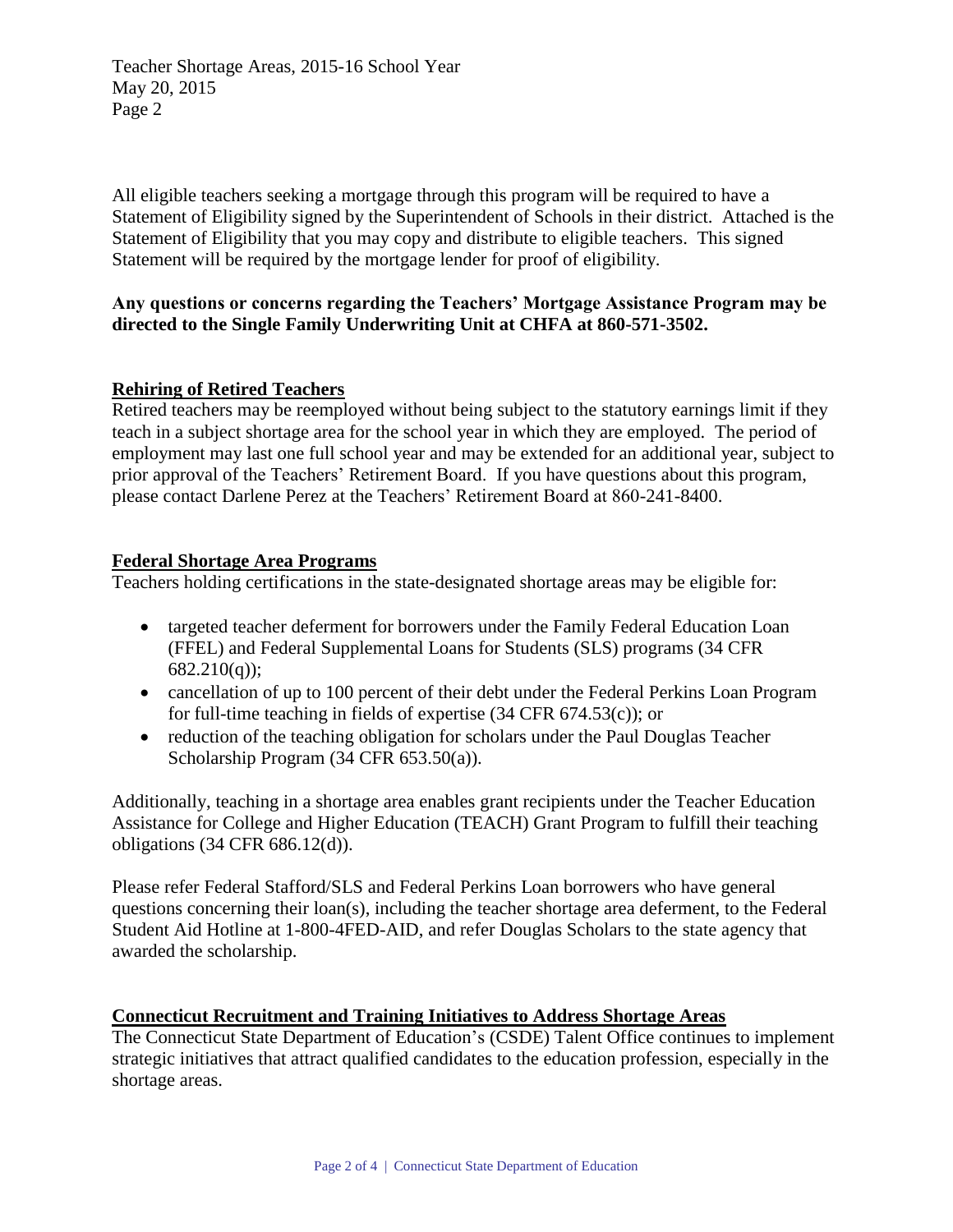Teacher Shortage Areas, 2015-16 School Year May 20, 2015 Page 2

All eligible teachers seeking a mortgage through this program will be required to have a Statement of Eligibility signed by the Superintendent of Schools in their district. Attached is the Statement of Eligibility that you may copy and distribute to eligible teachers. This signed Statement will be required by the mortgage lender for proof of eligibility.

#### **Any questions or concerns regarding the Teachers' Mortgage Assistance Program may be directed to the Single Family Underwriting Unit at CHFA at 860-571-3502.**

#### **Rehiring of Retired Teachers**

Retired teachers may be reemployed without being subject to the statutory earnings limit if they teach in a subject shortage area for the school year in which they are employed. The period of employment may last one full school year and may be extended for an additional year, subject to prior approval of the Teachers' Retirement Board. If you have questions about this program, please contact Darlene Perez at the Teachers' Retirement Board at 860-241-8400.

#### **Federal Shortage Area Programs**

Teachers holding certifications in the state-designated shortage areas may be eligible for:

- targeted teacher deferment for borrowers under the Family Federal Education Loan (FFEL) and Federal Supplemental Loans for Students (SLS) programs (34 CFR  $682.210(q)$ ;
- cancellation of up to 100 percent of their debt under the Federal Perkins Loan Program for full-time teaching in fields of expertise (34 CFR 674.53(c)); or
- reduction of the teaching obligation for scholars under the Paul Douglas Teacher Scholarship Program (34 CFR 653.50(a)).

Additionally, teaching in a shortage area enables grant recipients under the Teacher Education Assistance for College and Higher Education (TEACH) Grant Program to fulfill their teaching obligations (34 CFR 686.12(d)).

Please refer Federal Stafford/SLS and Federal Perkins Loan borrowers who have general questions concerning their loan(s), including the teacher shortage area deferment, to the Federal Student Aid Hotline at 1-800-4FED-AID, and refer Douglas Scholars to the state agency that awarded the scholarship.

#### **Connecticut Recruitment and Training Initiatives to Address Shortage Areas**

The Connecticut State Department of Education's (CSDE) Talent Office continues to implement strategic initiatives that attract qualified candidates to the education profession, especially in the shortage areas.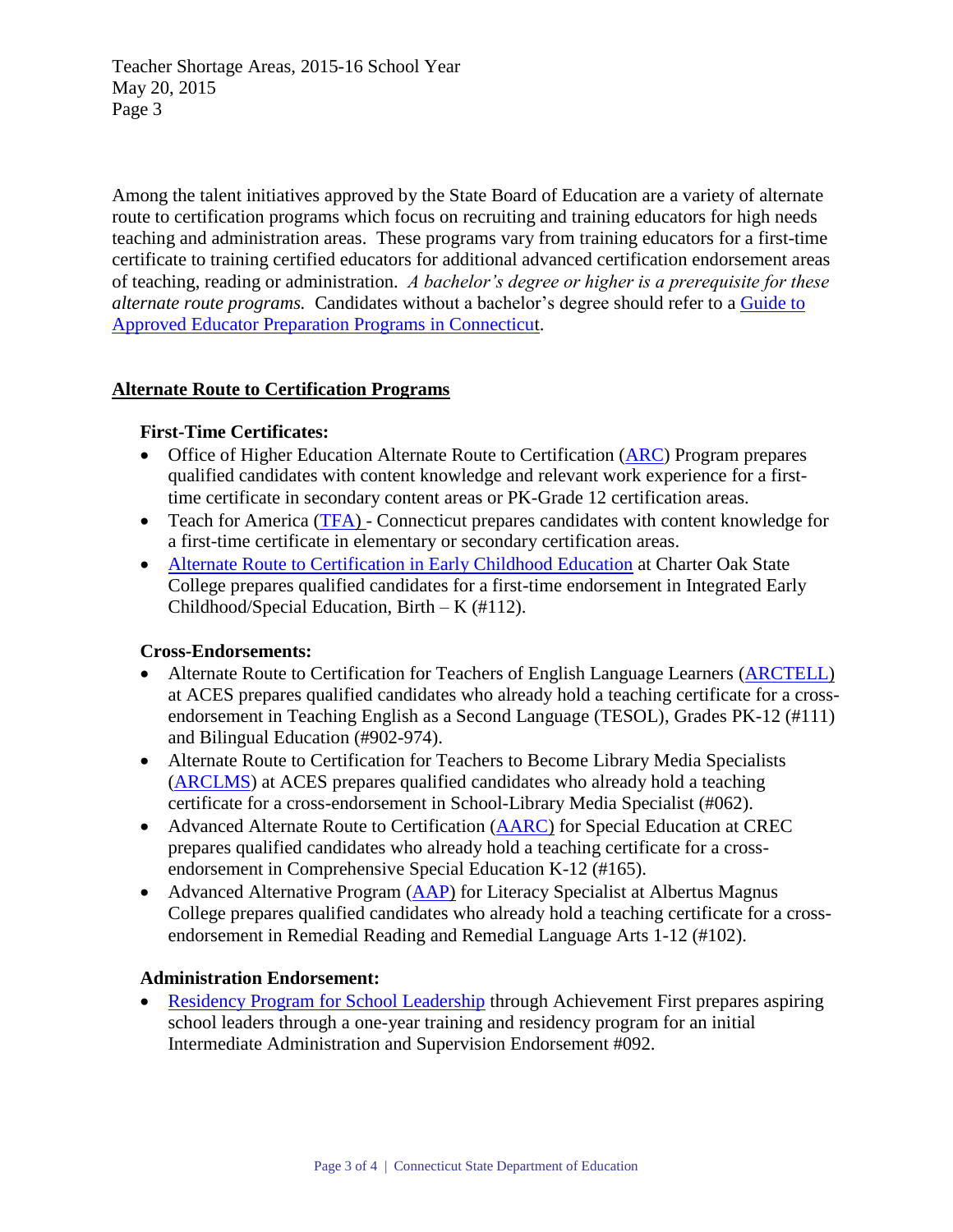Teacher Shortage Areas, 2015-16 School Year May 20, 2015 Page 3

Among the talent initiatives approved by the State Board of Education are a variety of alternate route to certification programs which focus on recruiting and training educators for high needs teaching and administration areas. These programs vary from training educators for a first-time certificate to training certified educators for additional advanced certification endorsement areas of teaching, reading or administration. *A bachelor's degree or higher is a prerequisite for these alternate route programs.* Candidates without a bachelor's degree should refer to a [Guide to](http://www.sde.ct.gov/sde/lib/sde/PDF/Cert/guides/ap_ed_prep_prgms.pdf)  [Approved Educator Preparation Programs in Connecticut.](http://www.sde.ct.gov/sde/lib/sde/PDF/Cert/guides/ap_ed_prep_prgms.pdf)

### **Alternate Route to Certification Programs**

## **First-Time Certificates:**

- Office of Higher Education Alternate Route to Certification [\(ARC\)](http://www.ctohe.org/ARC/) Program prepares qualified candidates with content knowledge and relevant work experience for a firsttime certificate in secondary content areas or PK-Grade 12 certification areas.
- Teach for America [\(TFA\)](http://www.teachforamerica.org/) Connecticut prepares candidates with content knowledge for a first-time certificate in elementary or secondary certification areas.
- [Alternate Route to Certification in Early Childhood Education](http://www.charteroak.edu/Prospective/Programs/ece_arc.cfm) at Charter Oak State College prepares qualified candidates for a first-time endorsement in Integrated Early Childhood/Special Education, Birth – K (#112).

### **Cross-Endorsements:**

- Alternate Route to Certification for Teachers of English Language Learners [\(ARCTELL\)](http://www.aces.org/teachers/arctell/) at ACES prepares qualified candidates who already hold a teaching certificate for a crossendorsement in Teaching English as a Second Language (TESOL), Grades PK-12 (#111) and Bilingual Education (#902-974).
- Alternate Route to Certification for Teachers to Become Library Media Specialists [\(ARCLMS\)](http://www.aces.org/teachers/arclms/) at ACES prepares qualified candidates who already hold a teaching certificate for a cross-endorsement in School-Library Media Specialist (#062).
- Advanced Alternate Route to Certification [\(AARC\)](http://www.crec.org/tabs/aarc/index.php) for Special Education at CREC prepares qualified candidates who already hold a teaching certificate for a crossendorsement in Comprehensive Special Education K-12 (#165).
- Advanced Alternative Program [\(AAP\)](http://www.albertus.edu/masters-degrees/education/AAP.php) for Literacy Specialist at Albertus Magnus College prepares qualified candidates who already hold a teaching certificate for a crossendorsement in Remedial Reading and Remedial Language Arts 1-12 (#102).

### **Administration Endorsement:**

• [Residency Program for School Leadership](http://www.achievementfirst.org/our-approach/residency-program/) through Achievement First prepares aspiring school leaders through a one-year training and residency program for an initial Intermediate Administration and Supervision Endorsement #092.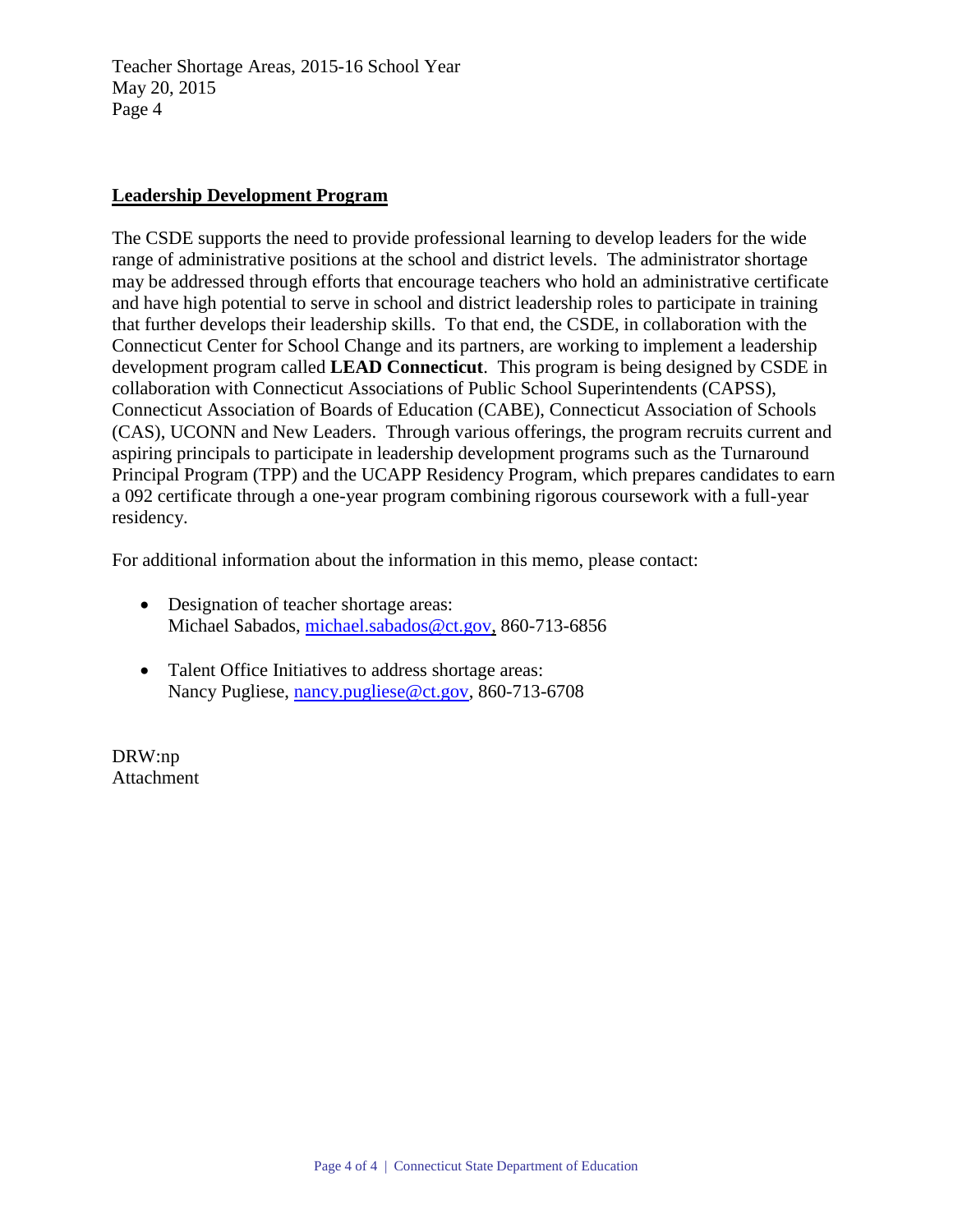Teacher Shortage Areas, 2015-16 School Year May 20, 2015 Page 4

#### **Leadership Development Program**

The CSDE supports the need to provide professional learning to develop leaders for the wide range of administrative positions at the school and district levels. The administrator shortage may be addressed through efforts that encourage teachers who hold an administrative certificate and have high potential to serve in school and district leadership roles to participate in training that further develops their leadership skills. To that end, the CSDE, in collaboration with the Connecticut Center for School Change and its partners, are working to implement a leadership development program called **LEAD Connecticut**. This program is being designed by CSDE in collaboration with Connecticut Associations of Public School Superintendents (CAPSS), Connecticut Association of Boards of Education (CABE), Connecticut Association of Schools (CAS), UCONN and New Leaders. Through various offerings, the program recruits current and aspiring principals to participate in leadership development programs such as the Turnaround Principal Program (TPP) and the UCAPP Residency Program, which prepares candidates to earn a 092 certificate through a one-year program combining rigorous coursework with a full-year residency.

For additional information about the information in this memo, please contact:

- Designation of teacher shortage areas: Michael Sabados, [michael.sabados@ct.gov,](mailto:michael.sabados@ct.gov) 860-713-6856
- Talent Office Initiatives to address shortage areas: Nancy Pugliese, [nancy.pugliese@ct.gov,](mailto:nancy.pugliese@ct.gov) 860-713-6708

DRW:np Attachment